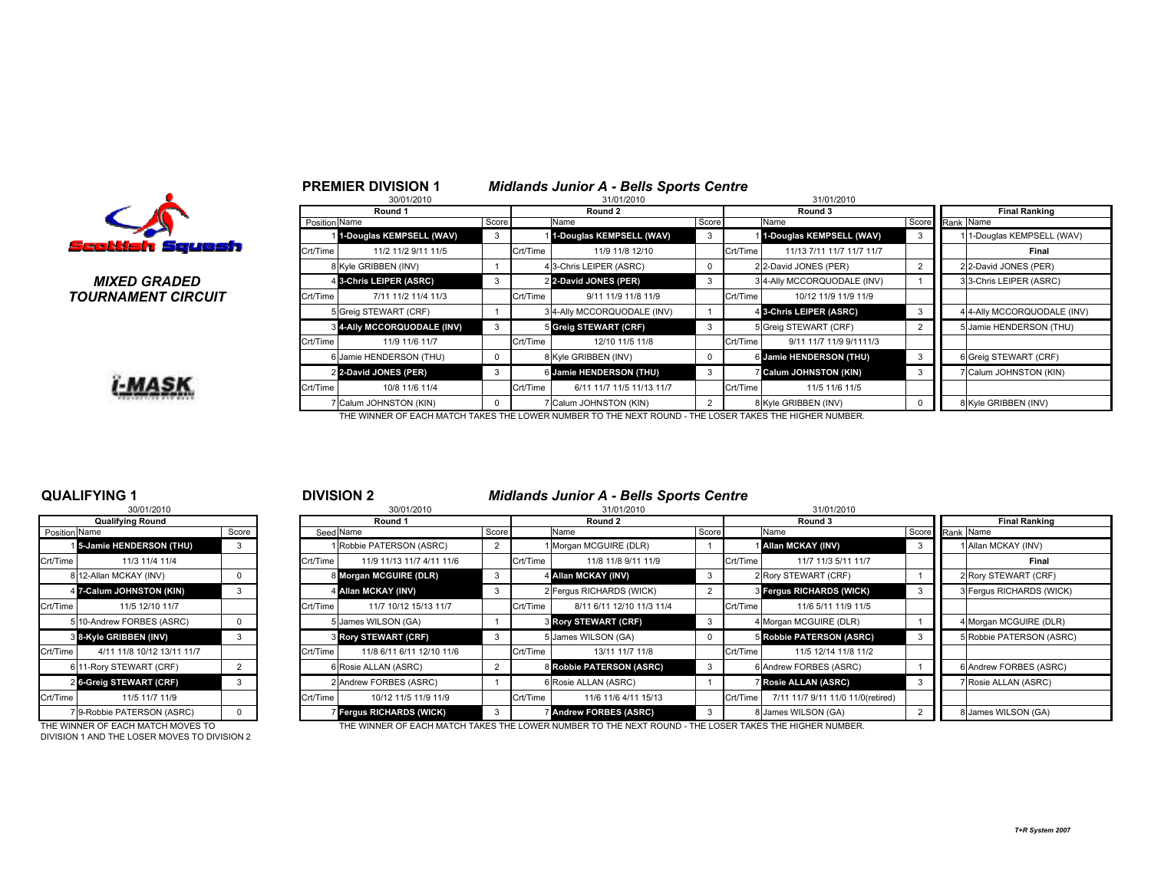

### MIXED GRADEDTOURNAMENT CIRCUIT



|              |               | 30/01/2010                         |       |          | 31/01/2010                                                                                             |                |          | 31/01/2010                  |       |           |                             |
|--------------|---------------|------------------------------------|-------|----------|--------------------------------------------------------------------------------------------------------|----------------|----------|-----------------------------|-------|-----------|-----------------------------|
|              |               | Round 1                            |       |          | Round 2                                                                                                |                |          | Round 3                     |       |           | <b>Final Ranking</b>        |
|              | Position Name |                                    | Score |          | Name                                                                                                   | Score          |          | Name                        | Score | Rank Name |                             |
|              |               | 1-Douglas KEMPSELL (WAV)           | 3     |          | 1-Douglas KEMPSELL (WAV)                                                                               | 3              |          | 11-Douglas KEMPSELL (WAV)   |       |           | 11-Douglas KEMPSELL (WAV)   |
| uash         | Crt/Time      | 11/2 11/2 9/11 11/5                |       | Crt/Time | 11/9 11/8 12/10                                                                                        |                | Crt/Time | 11/13 7/11 11/7 11/7 11/7   |       |           | Final                       |
|              |               | 8 Kyle GRIBBEN (INV)               |       |          | 4 3-Chris LEIPER (ASRC)                                                                                | 0              |          | 2 2-David JONES (PER)       |       |           | 2 2-David JONES (PER)       |
| D            |               | 4 3-Chris LEIPER (ASRC)            | 3     |          | 2 2-David JONES (PER)                                                                                  | 3              |          | 3 4-Ally MCCORQUODALE (INV) |       |           | 3 3-Chris LEIPER (ASRC)     |
| <b>?CUIT</b> | Crt/Time      | 7/11 11/2 11/4 11/3                |       | Crt/Time | 9/11 11/9 11/8 11/9                                                                                    |                | Crt/Time | 10/12 11/9 11/9 11/9        |       |           |                             |
|              |               | 5 Greig STEWART (CRF)              |       |          | 3 4-Ally MCCORQUODALE (INV)                                                                            |                |          | 4 3-Chris LEIPER (ASRC)     | 3     |           | 4 4-Ally MCCORQUODALE (INV) |
|              |               | <b>3 4-Ally MCCORQUODALE (INV)</b> | 3     |          | 5 Greig STEWART (CRF)                                                                                  | 3              |          | 5 Greig STEWART (CRF)       |       |           | 5 Jamie HENDERSON (THU)     |
|              | Crt/Time      | 11/9 11/6 11/7                     |       | Crt/Time | 12/10 11/5 11/8                                                                                        |                | Crt/Time | 9/11 11/7 11/9 9/1111/3     |       |           |                             |
|              |               | 6 Jamie HENDERSON (THU)            | 0     |          | 8 Kyle GRIBBEN (INV)                                                                                   | 0              |          | 6 Jamie HENDERSON (THU)     | 3     |           | 6 Greig STEWART (CRF)       |
|              |               | 2 2-David JONES (PER)              | 3     |          | 6 Jamie HENDERSON (THU)                                                                                | 3              |          | <b>Calum JOHNSTON (KIN)</b> | 3     |           | 7 Calum JOHNSTON (KIN)      |
|              | Crt/Time      | 10/8 11/6 11/4                     |       | Crt/Time | 6/11 11/7 11/5 11/13 11/7                                                                              |                | Crt/Time | 11/5 11/6 11/5              |       |           |                             |
|              |               | <b>Calum JOHNSTON (KIN)</b>        |       |          | Calum JOHNSTON (KIN)                                                                                   | $\overline{2}$ |          | 8 Kyle GRIBBEN (INV)        |       |           | 8 Kyle GRIBBEN (INV)        |
|              |               |                                    |       |          | THE WINNER OF EACH MATCH TAKES THE LOWER NUMBER TO THE NEXT ROUND - THE LOSER TAKES THE HIGHER NUMBER. |                |          |                             |       |           |                             |

### QUALIFYING 130/01/2010

|                      | טו טגיו טישט               |                |
|----------------------|----------------------------|----------------|
|                      | <b>Qualifying Round</b>    |                |
| <b>Position Name</b> |                            | Score          |
|                      | 15-Jamie HENDERSON (THU)   | 3              |
| Crt/Time             | 11/3 11/4 11/4             |                |
|                      | 8 12-Allan MCKAY (INV)     | 0              |
|                      | 4 7-Calum JOHNSTON (KIN)   | 3              |
| Crt/Time             | 11/5 12/10 11/7            |                |
| 5                    | 10-Andrew FORBES (ASRC)    | 0              |
|                      | 8 8-Kyle GRIBBEN (INV)     | 3              |
| Crt/Time             | 4/11 11/8 10/12 13/11 11/7 |                |
|                      | 6 11-Rory STEWART (CRF)    | $\overline{2}$ |
| $\overline{2}$       | 6-Greig STEWART (CRF)      | 3              |
| Crt/Time             | 11/5 11/7 11/9             |                |
| 7                    | 9-Robbie PATERSON (ASRC)   | n              |

DIVISION 1 AND THE LOSER MOVES TO DIVISION 2

### <sup>1</sup> <sup>2</sup> DIVISION 2 Midlands Junior A - Bells Sports Centre

PREMIER DIVISION 1 Midlands Junior A - Bells Sports Centre

|                        | 30/01/2010                        |    |          | 30/01/2010                    |       |          | 31/01/2010                                                                                            |       |          | 31/01/2010                        |                          |  |  |
|------------------------|-----------------------------------|----|----------|-------------------------------|-------|----------|-------------------------------------------------------------------------------------------------------|-------|----------|-----------------------------------|--------------------------|--|--|
|                        | <b>Qualifying Round</b>           |    |          | Round 1                       |       |          | Round 2                                                                                               |       | Round 3  | <b>Final Ranking</b>              |                          |  |  |
| Position Name<br>Score |                                   |    |          | Seed Name                     | Score |          | Name                                                                                                  | Score | Name     |                                   | Score Rank Name          |  |  |
|                        | <b>15-Jamie HENDERSON (THU)</b>   | -3 |          | 1 Robbie PATERSON (ASRC)      |       |          | 1 Morgan MCGUIRE (DLR)                                                                                |       |          | <b>Allan MCKAY (INV)</b>          | 1 Allan MCKAY (INV)      |  |  |
| Crt/Time               | 11/3 11/4 11/4                    |    | Crt/Time | 11/9 11/13 11/7 4/11 11/6     |       | Crt/Time | 11/8 11/8 9/11 11/9                                                                                   |       | Crt/Time | 11/7 11/3 5/11 11/7               | Final                    |  |  |
|                        | 8 12-Allan MCKAY (INV)            |    |          | 8 Morgan MCGUIRE (DLR)        |       |          | 4 Allan MCKAY (INV)                                                                                   | 3     |          | 2 Rory STEWART (CRF)              | 2 Rory STEWART (CRF)     |  |  |
|                        | 4 7-Calum JOHNSTON (KIN)          |    |          | 4 Allan MCKAY (INV)           |       |          | 2 Fergus RICHARDS (WICK)                                                                              |       |          | <b>8 Fergus RICHARDS (WICK)</b>   | 3 Fergus RICHARDS (WICK) |  |  |
| Crt/Time               | 11/5 12/10 11/7                   |    | Crt/Time | 11/7 10/12 15/13 11/7         |       | Crt/Time | 8/11 6/11 12/10 11/3 11/4                                                                             |       | Crt/Time | 11/6 5/11 11/9 11/5               |                          |  |  |
|                        | 5 10-Andrew FORBES (ASRC)         |    |          | 5 James WILSON (GA)           |       |          | <b>3 Rory STEWART (CRF)</b>                                                                           | 3     |          | 4 Morgan MCGUIRE (DLR)            | 4 Morgan MCGUIRE (DLR)   |  |  |
|                        | 3 8-Kyle GRIBBEN (INV)            |    |          | <b>3 Rory STEWART (CRF)</b>   |       |          | 5 James WILSON (GA)                                                                                   | 0     |          | 5 Robbie PATERSON (ASRC)          | 5 Robbie PATERSON (ASRC) |  |  |
| Crt/Time               | 4/11 11/8 10/12 13/11 11/7        |    | Crt/Time | 11/8 6/11 6/11 12/10 11/6     |       | Crt/Time | 13/11 11/7 11/8                                                                                       |       | Crt/Time | 11/5 12/14 11/8 11/2              |                          |  |  |
|                        | 6 11-Rory STEWART (CRF)           |    |          | 6 Rosie ALLAN (ASRC)          |       |          | 8 Robbie PATERSON (ASRC)                                                                              | 3     |          | 6 Andrew FORBES (ASRC)            | 6 Andrew FORBES (ASRC)   |  |  |
|                        | 26-Greig STEWART (CRF)            |    |          | 2 Andrew FORBES (ASRC)        |       |          | 6 Rosie ALLAN (ASRC)                                                                                  |       |          | <b>Rosie ALLAN (ASRC)</b>         | 7 Rosie ALLAN (ASRC)     |  |  |
| Crt/Time               | 11/5 11/7 11/9                    |    | Crt/Time | 10/12 11/5 11/9 11/9          |       | Crt/Time | 11/6 11/6 4/11 15/13                                                                                  |       | Crt/Time | 7/11 11/7 9/11 11/0 11/0(retired) |                          |  |  |
|                        | 79-Robbie PATERSON (ASRC)         |    |          | <b>Fergus RICHARDS (WICK)</b> |       |          | <b>7 Andrew FORBES (ASRC)</b>                                                                         | 3     |          | 8 James WILSON (GA)               | 8 James WILSON (GA)      |  |  |
|                        | THE WINNER OF EACH MATCH MOVES TO |    |          |                               |       |          | THE WINNER OF EACH MATCH TAKES THE LOWER NUMBER TO THE NEXT ROUND - THE LOSER TAKES THE HIGHER NUMBER |       |          |                                   |                          |  |  |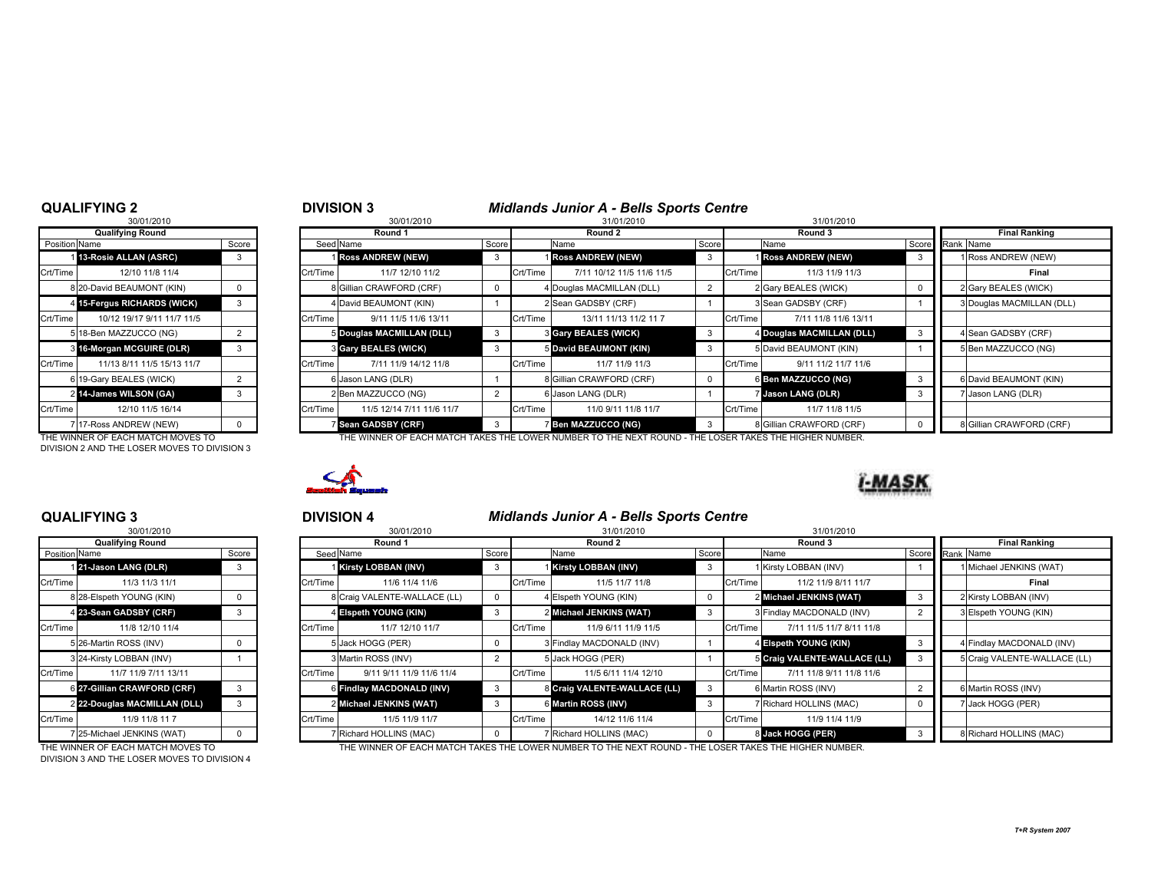### QUALIFYING 2

|                      | 30/01/2010                        |                |
|----------------------|-----------------------------------|----------------|
|                      | <b>Qualifying Round</b>           |                |
| <b>Position Name</b> |                                   | Score          |
| 1 <sup>1</sup>       | 13-Rosie ALLAN (ASRC)             | 3              |
| Crt/Time             | 12/10 11/8 11/4                   |                |
|                      | 8 20-David BEAUMONT (KIN)         | 0              |
| 4                    | <b>15-Fergus RICHARDS (WICK)</b>  | 3              |
| Crt/Time             | 10/12 19/17 9/11 11/7 11/5        |                |
| 5                    | 18-Ben MAZZUCCO (NG)              | 2              |
| 3                    | 16-Morgan MCGUIRE (DLR)           | 3              |
| Crt/Time             | 11/13 8/11 11/5 15/13 11/7        |                |
| 6                    | 19-Gary BEALES (WICK)             | $\overline{2}$ |
| $\mathcal{P}$        | 14-James WILSON (GA)              | 3              |
| Crt/Time             | 12/10 11/5 16/14                  |                |
|                      | 7 17-Ross ANDREW (NEW)            | O              |
|                      | THE WINNER OF EACH MATCH MOVES TO |                |

DIVISION 2 AND THE LOSER MOVES TO DIVISION 3

|               | QUALIFYING 2                      |       |          | <b>DIVISION 3</b>         |       |          | <b>Midlands Junior A - Bells Sports Centre</b>                                                         |       |          |                           |  |                           |
|---------------|-----------------------------------|-------|----------|---------------------------|-------|----------|--------------------------------------------------------------------------------------------------------|-------|----------|---------------------------|--|---------------------------|
|               | 30/01/2010                        |       |          | 30/01/2010                |       |          | 31/01/2010                                                                                             |       |          | 31/01/2010                |  |                           |
|               | <b>Qualifying Round</b>           |       |          | Round 1                   |       |          | Round 2                                                                                                |       |          | Round 3                   |  | <b>Final Ranking</b>      |
| Position Name |                                   | Score |          | Seed Name                 | Score |          | Name                                                                                                   | Score |          | Name                      |  | Score Rank Name           |
|               | 13-Rosie ALLAN (ASRC)             |       |          | <b>Ross ANDREW (NEW)</b>  |       |          | <b>I Ross ANDREW (NEW)</b>                                                                             |       |          | <b>Ross ANDREW (NEW)</b>  |  | 1 Ross ANDREW (NEW)       |
| Crt/Time      | 12/10 11/8 11/4                   |       | Crt/Time | 11/7 12/10 11/2           |       | Crt/Time | 7/11 10/12 11/5 11/6 11/5                                                                              |       | Crt/Time | 11/3 11/9 11/3            |  | Final                     |
|               | 8 20-David BEAUMONT (KIN)         |       |          | 8 Gillian CRAWFORD (CRF)  |       |          | 4 Douglas MACMILLAN (DLL)                                                                              |       |          | 2 Gary BEALES (WICK)      |  | 2 Gary BEALES (WICK)      |
|               | 4 15-Fergus RICHARDS (WICK)       | 3     |          | 4 David BEAUMONT (KIN)    |       |          | 2 Sean GADSBY (CRF)                                                                                    |       |          | 3 Sean GADSBY (CRF)       |  | 3 Douglas MACMILLAN (DLL) |
| Crt/Time      | 10/12 19/17 9/11 11/7 11/5        |       | Crt/Time | 9/11 11/5 11/6 13/11      |       | Crt/Time | 13/11 11/13 11/2 11 7                                                                                  |       | Crt/Time | 7/11 11/8 11/6 13/11      |  |                           |
|               | 5 18-Ben MAZZUCCO (NG)            |       |          | 5 Douglas MACMILLAN (DLL) |       |          | <b>3 Gary BEALES (WICK)</b>                                                                            | 3     |          | 4 Douglas MACMILLAN (DLL) |  | 4 Sean GADSBY (CRF)       |
|               | 3 16-Morgan MCGUIRE (DLR)         | -3    |          | 3 Gary BEALES (WICK)      |       |          | 5 David BEAUMONT (KIN)                                                                                 | -3    |          | 5 David BEAUMONT (KIN)    |  | 5 Ben MAZZUCCO (NG)       |
| Crt/Time      | 11/13 8/11 11/5 15/13 11/7        |       | Crt/Time | 7/11 11/9 14/12 11/8      |       | Crt/Time | 11/7 11/9 11/3                                                                                         |       | Crt/Time | 9/11 11/2 11/7 11/6       |  |                           |
|               | 6 19-Gary BEALES (WICK)           |       |          | 6 Jason LANG (DLR)        |       |          | 8 Gillian CRAWFORD (CRF)                                                                               |       |          | 6 Ben MAZZUCCO (NG)       |  | 6 David BEAUMONT (KIN)    |
|               | 2 14-James WILSON (GA)            | -3    |          | 2 Ben MAZZUCCO (NG)       |       |          | 6 Jason LANG (DLR)                                                                                     |       |          | Jason LANG (DLR)          |  | 7 Jason LANG (DLR)        |
| Crt/Time      | 12/10 11/5 16/14                  |       | Crt/Time | 11/5 12/14 7/11 11/6 11/7 |       | Crt/Time | 11/0 9/11 11/8 11/7                                                                                    |       | Crt/Time | 11/7 11/8 11/5            |  |                           |
|               | 7117-Ross ANDREW (NEW)            |       |          | Sean GADSBY (CRF)         |       |          | 7 Ben MAZZUCCO (NG)                                                                                    | -3    |          | 8 Gillian CRAWFORD (CRF)  |  | 8 Gillian CRAWFORD (CRF)  |
|               | THE WINNER OF EACH MATCH MOVES TO |       |          |                           |       |          | THE WINNER OF EACH MATCH TAKES THE LOWER NUMBER TO THE NEXT ROUND - THE LOSER TAKES THE HIGHER NUMBER. |       |          |                           |  |                           |



### QUALIFYING 3

|               | 30/01/2010                   |       |
|---------------|------------------------------|-------|
|               | <b>Qualifying Round</b>      |       |
| Position Name |                              | Score |
|               | 121-Jason LANG (DLR)         | 3     |
| Crt/Time      | 11/3 11/3 11/1               |       |
|               | 8 28-Elspeth YOUNG (KIN)     | 0     |
|               | 4 23-Sean GADSBY (CRF)       | 3     |
| Crt/Time      | 11/8 12/10 11/4              |       |
|               | 5 26-Martin ROSS (INV)       | 0     |
|               | 3 24-Kirsty LOBBAN (INV)     |       |
| Crt/Time      | 11/7 11/9 7/11 13/11         |       |
|               | 6 27-Gillian CRAWFORD (CRF)  | 3     |
|               | 2 22-Douglas MACMILLAN (DLL) | 3     |
| Crt/Time      | 11/9 11/8 11 7               |       |
| 7             | 25-Michael JENKINS (WAT)     | O     |

DIVISION 3 AND THE LOSER MOVES TO DIVISION 4

|               | <b>QUALIFYING 3</b>               |       |          | <b>DIVISION 4</b>            |               |            | <b>Midlands Junior A - Bells Sports Centre</b>                                                         |              |          |                              |  |                              |  |
|---------------|-----------------------------------|-------|----------|------------------------------|---------------|------------|--------------------------------------------------------------------------------------------------------|--------------|----------|------------------------------|--|------------------------------|--|
|               | 30/01/2010                        |       |          | 30/01/2010                   |               | 31/01/2010 |                                                                                                        |              |          | 31/01/2010                   |  |                              |  |
|               | <b>Qualifying Round</b>           |       |          | Round 1                      |               |            | Round 2                                                                                                |              |          | Round 3                      |  | <b>Final Ranking</b>         |  |
| Position Name |                                   | Score |          | Seed Name                    |               | Score      | Name                                                                                                   | Score        |          | Name                         |  | Score Rank Name              |  |
|               | 21-Jason LANG (DLR)               | 3     |          | Kirsty LOBBAN (INV)          | -3            |            | Kirsty LOBBAN (INV)                                                                                    | 3            |          | 1 Kirsty LOBBAN (INV)        |  | 1 Michael JENKINS (WAT)      |  |
| Crt/Time      | 11/3 11/3 11/1                    |       | Crt/Time | 11/6 11/4 11/6               |               | Crt/Time   | 11/5 11/7 11/8                                                                                         |              | Crt/Time | 11/2 11/9 8/11 11/7          |  | Final                        |  |
|               | 8 28-Elspeth YOUNG (KIN)          |       |          | 8 Craig VALENTE-WALLACE (LL) |               |            | 4 Elspeth YOUNG (KIN)                                                                                  | $\Omega$     |          | 2 Michael JENKINS (WAT)      |  | 2 Kirsty LOBBAN (INV)        |  |
|               | 4 23-Sean GADSBY (CRF)            | 3     |          | 4 Eispeth YOUNG (KIN)        |               |            | 2 Michael JENKINS (WAT)                                                                                | 3            |          | 3 Findlay MACDONALD (INV)    |  | 3 Elspeth YOUNG (KIN)        |  |
| Crt/Time      | 11/8 12/10 11/4                   |       | Crt/Time | 11/7 12/10 11/7              |               | Crt/Time   | 11/9 6/11 11/9 11/5                                                                                    |              | Crt/Time | 7/11 11/5 11/7 8/11 11/8     |  |                              |  |
|               | 5 26-Martin ROSS (INV)            |       |          | 5 Jack HOGG (PER)            |               |            | <b>B</b> Findlay MACDONALD (INV)                                                                       |              |          | 4 Elspeth YOUNG (KIN)        |  | 4 Findlay MACDONALD (INV)    |  |
|               | 3 24-Kirsty LOBBAN (INV)          |       |          | 3 Martin ROSS (INV)          | 2             |            | 5 Jack HOGG (PER)                                                                                      |              |          | 5 Craig VALENTE-WALLACE (LL) |  | 5 Craig VALENTE-WALLACE (LL) |  |
| Crt/Time      | 11/7 11/9 7/11 13/11              |       | Crt/Time | 9/11 9/11 11/9 11/6 11/4     |               | Crt/Time   | 11/5 6/11 11/4 12/10                                                                                   |              | Crt/Time | 7/11 11/8 9/11 11/8 11/6     |  |                              |  |
|               | 6 27-Gillian CRAWFORD (CRF)       |       |          | 6 Findlay MACDONALD (INV)    |               |            | 8 Craig VALENTE-WALLACE (LL)                                                                           | $\mathbf{3}$ |          | 6 Martin ROSS (INV)          |  | 6 Martin ROSS (INV)          |  |
|               | 2 22-Douglas MACMILLAN (DLL)      | 3     |          | 2 Michael JENKINS (WAT)      | $\mathcal{B}$ |            | 6 Martin ROSS (INV)                                                                                    | $\mathbf{3}$ |          | 7 Richard HOLLINS (MAC)      |  | 7 Jack HOGG (PER)            |  |
| Crt/Time      | 11/9 11/8 11 7                    |       | Crt/Time | 11/5 11/9 11/7               |               | Crt/Time   | 14/12 11/6 11/4                                                                                        |              | Crt/Time | 11/9 11/4 11/9               |  |                              |  |
|               | 7 25-Michael JENKINS (WAT)        |       |          | 7 Richard HOLLINS (MAC)      |               |            | 7 Richard HOLLINS (MAC)                                                                                |              |          | 8 Jack HOGG (PER)            |  | 8 Richard HOLLINS (MAC)      |  |
|               | THE WINNER OF EACH MATCH MOVES TO |       |          |                              |               |            | THE WINNER OF EACH MATCH TAKES THE LOWER NUMBER TO THE NEXT ROUND - THE LOSER TAKES THE HIGHER NUMBER. |              |          |                              |  |                              |  |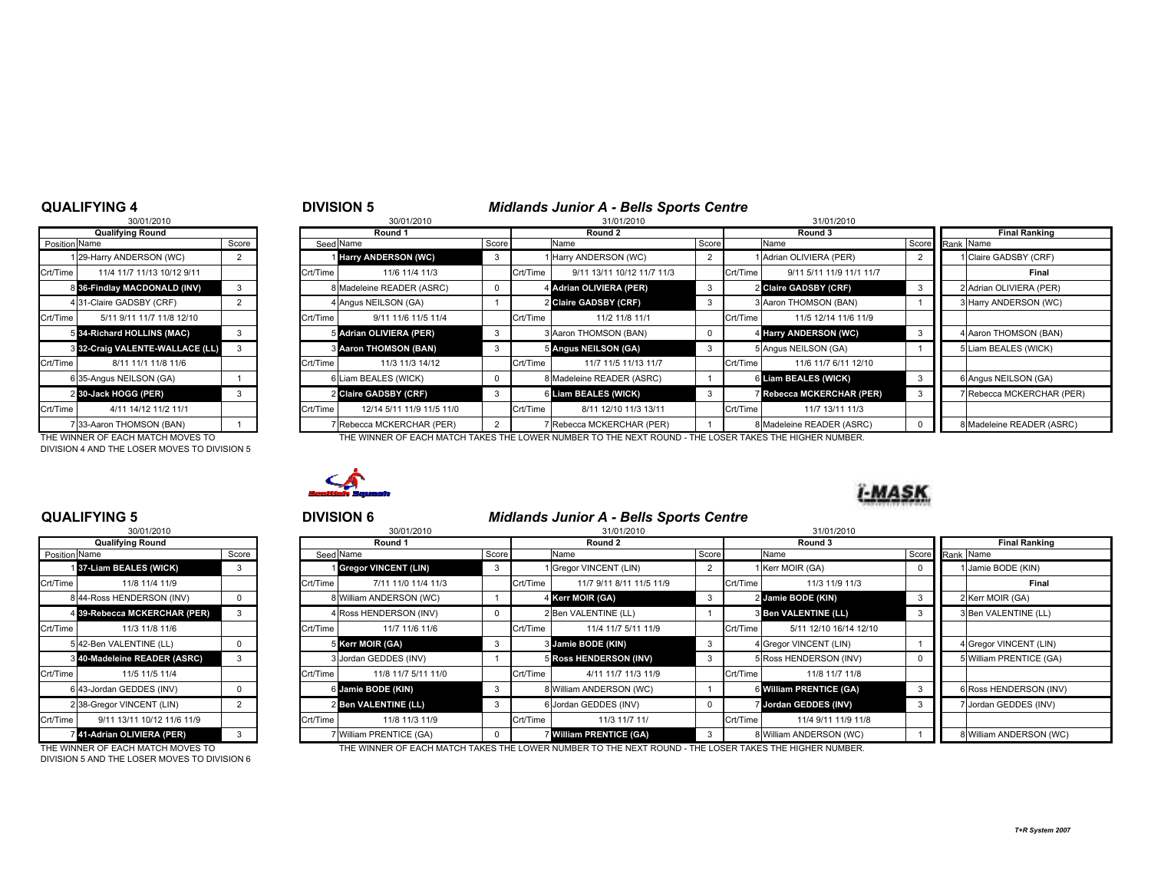### QUALIFYING 4

| <b>Qualifying Round</b><br>Position Name<br>Score<br>29-Harry ANDERSON (WC)<br>1<br>2<br>Crt/Time<br>11/4 11/7 11/13 10/12 9/11<br>36-Findlay MACDONALD (INV)<br>3<br>8<br>4 31-Claire GADSBY (CRF)<br>2<br>Crt/Time<br>5/11 9/11 11/7 11/8 12/10<br>5 34-Richard HOLLINS (MAC)<br>3<br><b>332-Craig VALENTE-WALLACE (LL)</b><br>3<br>Crt/Time<br>8/11 11/1 11/8 11/6<br>6 35-Angus NEILSON (GA)<br>1<br>2 30-Jack HOGG (PER)<br>3<br>Crt/Time<br>4/11 14/12 11/2 11/1<br>7 33-Aaron THOMSON (BAN) | 30/01/2010 |  |
|----------------------------------------------------------------------------------------------------------------------------------------------------------------------------------------------------------------------------------------------------------------------------------------------------------------------------------------------------------------------------------------------------------------------------------------------------------------------------------------------------|------------|--|
|                                                                                                                                                                                                                                                                                                                                                                                                                                                                                                    |            |  |
|                                                                                                                                                                                                                                                                                                                                                                                                                                                                                                    |            |  |
|                                                                                                                                                                                                                                                                                                                                                                                                                                                                                                    |            |  |
|                                                                                                                                                                                                                                                                                                                                                                                                                                                                                                    |            |  |
|                                                                                                                                                                                                                                                                                                                                                                                                                                                                                                    |            |  |
|                                                                                                                                                                                                                                                                                                                                                                                                                                                                                                    |            |  |
|                                                                                                                                                                                                                                                                                                                                                                                                                                                                                                    |            |  |
|                                                                                                                                                                                                                                                                                                                                                                                                                                                                                                    |            |  |
|                                                                                                                                                                                                                                                                                                                                                                                                                                                                                                    |            |  |
|                                                                                                                                                                                                                                                                                                                                                                                                                                                                                                    |            |  |
|                                                                                                                                                                                                                                                                                                                                                                                                                                                                                                    |            |  |
|                                                                                                                                                                                                                                                                                                                                                                                                                                                                                                    |            |  |
|                                                                                                                                                                                                                                                                                                                                                                                                                                                                                                    |            |  |
|                                                                                                                                                                                                                                                                                                                                                                                                                                                                                                    |            |  |

DIVISION 4 AND THE LOSER MOVES TO DIVISION 5

|               | <b>QUALIFYING 4</b>               |       |          | <b>DIVISION 5</b>            |       |          | <b>Midlands Junior A - Bells Sports Centre</b>                                                       |       |          |                                  |  |                           |
|---------------|-----------------------------------|-------|----------|------------------------------|-------|----------|------------------------------------------------------------------------------------------------------|-------|----------|----------------------------------|--|---------------------------|
|               | 30/01/2010                        |       |          | 30/01/2010                   |       |          | 31/01/2010                                                                                           |       |          | 31/01/2010                       |  |                           |
|               | <b>Qualifying Round</b>           |       |          | Round 1                      |       |          | Round 2                                                                                              |       |          | Round 3                          |  | <b>Final Ranking</b>      |
| Position Name |                                   | Score |          | Seed Name                    | Score |          | Name                                                                                                 | Score |          | Name                             |  | Score Rank Name           |
|               | 129-Harry ANDERSON (WC)           |       |          | <b>I Harry ANDERSON (WC)</b> |       |          | 1 Harry ANDERSON (WC)                                                                                |       |          | Adrian OLIVIERA (PER)            |  | 1 Claire GADSBY (CRF)     |
| Crt/Time      | 11/4 11/7 11/13 10/12 9/11        |       | Crt/Time | 11/6 11/4 11/3               |       | Crt/Time | 9/11 13/11 10/12 11/7 11/3                                                                           |       | Crt/Time | 9/11 5/11 11/9 11/1 11/7         |  | Final                     |
|               | 8 36-Findlay MACDONALD (INV)      |       |          | 8 Madeleine READER (ASRC)    |       |          | 4 Adrian OLIVIERA (PER)                                                                              | 3     |          | 2 Claire GADSBY (CRF)            |  | 2 Adrian OLIVIERA (PER)   |
|               | 431-Claire GADSBY (CRF)           |       |          | 4 Angus NEILSON (GA)         |       |          | 2 Claire GADSBY (CRF)                                                                                | 3     |          | 3 Aaron THOMSON (BAN)            |  | 3 Harry ANDERSON (WC)     |
| Crt/Time      | 5/11 9/11 11/7 11/8 12/10         |       | Crt/Time | 9/11 11/6 11/5 11/4          |       | Crt/Time | 11/2 11/8 11/1                                                                                       |       | Crt/Time | 11/5 12/14 11/6 11/9             |  |                           |
|               | 5 34-Richard HOLLINS (MAC)        |       |          | 5 Adrian OLIVIERA (PER)      | -3    |          | 3 Aaron THOMSON (BAN)                                                                                |       |          | 4 Harry ANDERSON (WC)            |  | 4 Aaron THOMSON (BAN)     |
|               | 3 32-Craig VALENTE-WALLACE (LL)   |       |          | <b>8 Aaron THOMSON (BAN)</b> |       |          | 5 Angus NEILSON (GA)                                                                                 | 3     |          | 5 Angus NEILSON (GA)             |  | 5 Liam BEALES (WICK)      |
| Crt/Time      | 8/11 11/1 11/8 11/6               |       | Crt/Time | 11/3 11/3 14/12              |       | Crt/Time | 11/7 11/5 11/13 11/7                                                                                 |       | Crt/Time | 11/6 11/7 6/11 12/10             |  |                           |
|               | 6 35-Angus NEILSON (GA)           |       |          | 6 Liam BEALES (WICK)         |       |          | 8 Madeleine READER (ASRC)                                                                            |       |          | 6 Liam BEALES (WICK)             |  | 6 Angus NEILSON (GA)      |
|               | 2 30-Jack HOGG (PER)              |       |          | 2 Claire GADSBY (CRF)        |       |          | 6 Liam BEALES (WICK)                                                                                 | 3     |          | <b>7 Rebecca MCKERCHAR (PER)</b> |  | 7 Rebecca MCKERCHAR (PER) |
| Crt/Time      | 4/11 14/12 11/2 11/1              |       | Crt/Time | 12/14 5/11 11/9 11/5 11/0    |       | Crt/Time | 8/11 12/10 11/3 13/11                                                                                |       | Crt/Time | 11/7 13/11 11/3                  |  |                           |
|               | 733-Aaron THOMSON (BAN)           |       |          | Rebecca MCKERCHAR (PER)      |       |          | 7 Rebecca MCKERCHAR (PER)                                                                            |       |          | 8 Madeleine READER (ASRC)        |  | 8 Madeleine READER (ASRC) |
|               | THE WINNER OF EACH MATCH MOVES TO |       |          |                              |       |          | THE WINNER OF EACH MATCH TAKES THE LOWER NUMBER TO THE NEXT ROUND. THE LOSER TAKES THE HIGHER NUMBER |       |          |                                  |  |                           |

THE WINNER OF EACH MATCH MOVES TO THE WINNER OF EACH MATCH TAKES THE LOWER NUMBER TO THE NEXT ROUND - THE LOSER TAKES THE HIGHER NUMBER.



### QUALIFYING 5

|                | 30/01/2010                  |                |
|----------------|-----------------------------|----------------|
|                | <b>Qualifying Round</b>     |                |
| Position Name  |                             | Score          |
|                | 137-Liam BEALES (WICK)      | 3              |
| Crt/Time       | 11/8 11/4 11/9              |                |
|                | 8 44-Ross HENDERSON (INV)   | 0              |
| $\overline{4}$ | 39-Rebecca MCKERCHAR (PER)  | 3              |
| Crt/Time       | 11/3 11/8 11/6              |                |
|                | 5 42-Ben VALENTINE (LL)     | 0              |
|                | 340-Madeleine READER (ASRC) | 3              |
| Crt/Time       | 11/5 11/5 11/4              |                |
|                | 6 43-Jordan GEDDES (INV)    | 0              |
|                | 2 38-Gregor VINCENT (LIN)   | $\overline{2}$ |
| Crt/Time       | 9/11 13/11 10/12 11/6 11/9  |                |
|                | 41-Adrian OLIVIERA (PER)    | 3              |

DIVISION 5 AND THE LOSER MOVES TO DIVISION 6

|               | QUALIFYING 5                 |       |           | <b>DIVISION 6</b>       |       |          | <b>Midlands Junior A - Bells Sports Centre</b> |       |          |                             |                 |                         |
|---------------|------------------------------|-------|-----------|-------------------------|-------|----------|------------------------------------------------|-------|----------|-----------------------------|-----------------|-------------------------|
|               | 30/01/2010                   |       |           | 30/01/2010              |       |          | 31/01/2010                                     |       |          |                             |                 |                         |
|               | <b>Qualifying Round</b>      |       |           | Round 1                 |       |          | Round 2                                        |       |          | Round 3                     |                 | <b>Final Ranking</b>    |
| Position Name |                              | Score | Seed Name |                         | Score |          | Name                                           | Score |          | Name                        | Score Rank Name |                         |
|               | 137-Liam BEALES (WICK)       |       |           | 1 Gregor VINCENT (LIN)  | 3     |          | Gregor VINCENT (LIN)                           |       |          | 1 Kerr MOIR (GA)            |                 | 1 Jamie BODE (KIN)      |
| Crt/Time      | 11/8 11/4 11/9               |       | Crt/Time  | 7/11 11/0 11/4 11/3     |       | Crt/Time | 11/7 9/11 8/11 11/5 11/9                       |       | Crt/Time | 11/3 11/9 11/3              |                 | Final                   |
|               | 8 44-Ross HENDERSON (INV)    |       |           | 8 William ANDERSON (WC) |       |          | 4 Kerr MOIR (GA)                               |       |          | 2 Jamie BODE (KIN)          |                 | 2 Kerr MOIR (GA)        |
|               | 4 39-Rebecca MCKERCHAR (PER) |       |           | 4 Ross HENDERSON (INV)  |       |          | 2 Ben VALENTINE (LL)                           |       |          | <b>S Ben VALENTINE (LL)</b> |                 | 3 Ben VALENTINE (LL)    |
| Crt/Time      | 11/3 11/8 11/6               |       | Crt/Time  | 11/7 11/6 11/6          |       | Crt/Time | 11/4 11/7 5/11 11/9                            |       | Crt/Time | 5/11 12/10 16/14 12/10      |                 |                         |
|               | 542-Ben VALENTINE (LL)       |       |           | 5 Kerr MOIR (GA)        | 3     |          | 3 Jamie BODE (KIN)                             | - 3   |          | 4 Gregor VINCENT (LIN)      |                 | 4 Gregor VINCENT (LIN)  |
|               | 340-Madeleine READER (ASRC)  |       |           | 3 Jordan GEDDES (INV)   |       |          | 5 Ross HENDERSON (INV)                         | 3     |          | 5 Ross HENDERSON (INV)      |                 | 5 William PRENTICE (GA) |
| Crt/Time      | 11/5 11/5 11/4               |       | Crt/Time  | 11/8 11/7 5/11 11/0     |       | Crt/Time | 4/11 11/7 11/3 11/9                            |       | Crt/Time | 11/8 11/7 11/8              |                 |                         |
|               | 6 43-Jordan GEDDES (INV)     |       |           | 6 Jamie BODE (KIN)      |       |          | 8 William ANDERSON (WC)                        |       |          | 6 William PRENTICE (GA)     |                 | 6 Ross HENDERSON (INV)  |
|               | 2 38-Gregor VINCENT (LIN)    |       |           | 2 Ben VALENTINE (LL)    | 3     |          | 6 Jordan GEDDES (INV)                          | 0     |          | Jordan GEDDES (INV)         |                 | 7 Jordan GEDDES (INV)   |
| Crt/Time      | 9/11 13/11 10/12 11/6 11/9   |       | Crt/Time  | 11/8 11/3 11/9          |       | Crt/Time | 11/3 11/7 11/                                  |       | Crt/Time | 11/4 9/11 11/9 11/8         |                 |                         |
|               | 41-Adrian OLIVIERA (PER)     |       |           | 7 William PRENTICE (GA) |       |          | <b>William PRENTICE (GA)</b>                   |       |          | 8 William ANDERSON (WC)     |                 | 8 William ANDERSON (WC) |

THE WINNER OF EACH MATCH MOVES TO THE WINNER OF EACH MATCH TAKES THE LOWER NUMBER TO THE NEXT ROUND - THE LOSER TAKES THE HIGHER NUMBER.